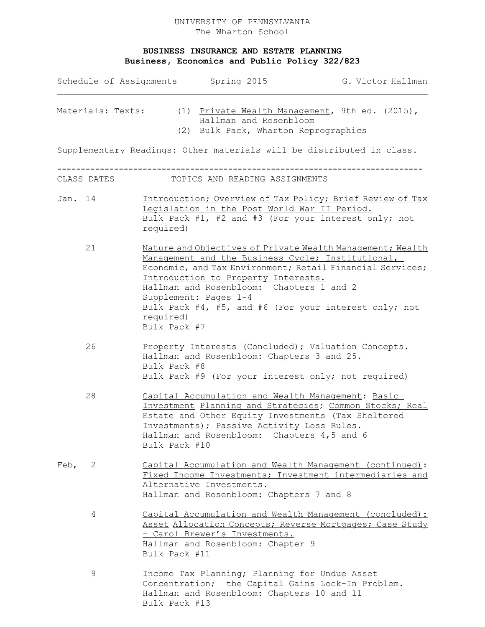## **BUSINESS INSURANCE AND ESTATE PLANNING Business, Economics and Public Policy 322/823**

| Schedule of Assignments Spring 2015<br>Materials: Texts: |             |                           |                                                                                                          | G. Victor Hallman                                                                                                                                                                                                                     |
|----------------------------------------------------------|-------------|---------------------------|----------------------------------------------------------------------------------------------------------|---------------------------------------------------------------------------------------------------------------------------------------------------------------------------------------------------------------------------------------|
|                                                          |             |                           | Hallman and Rosenbloom<br>(2) Bulk Pack, Wharton Reprographics                                           | (1) Private Wealth Management, 9th ed. (2015),                                                                                                                                                                                        |
|                                                          |             |                           |                                                                                                          | Supplementary Readings: Other materials will be distributed in class.                                                                                                                                                                 |
|                                                          | CLASS DATES |                           | TOPICS AND READING ASSIGNMENTS                                                                           |                                                                                                                                                                                                                                       |
| Jan. 14                                                  |             | required)                 | Legislation in the Post World War II Period.                                                             | Introduction; Overview of Tax Policy; Brief Review of Tax<br>Bulk Pack #1, #2 and #3 (For your interest only; not                                                                                                                     |
|                                                          | 21          | required)<br>Bulk Pack #7 | Introduction to Property Interests.<br>Hallman and Rosenbloom: Chapters 1 and 2<br>Supplement: Pages 1-4 | Nature and Objectives of Private Wealth Management; Wealth<br>Management and the Business Cycle; Institutional,<br>Economic, and Tax Environment; Retail Financial Services;<br>Bulk Pack #4, #5, and #6 (For your interest only; not |
|                                                          | 26          | Bulk Pack #8              | Hallman and Rosenbloom: Chapters 3 and 25.                                                               | Property Interests (Concluded); Valuation Concepts.<br>Bulk Pack #9 (For your interest only; not required)                                                                                                                            |
|                                                          | 28          | Bulk Pack #10             | Investments); Passive Activity Loss Rules.<br>Hallman and Rosenbloom: Chapters 4,5 and 6                 | Capital Accumulation and Wealth Management: Basic<br>Investment Planning and Strategies; Common Stocks; Real<br>Estate and Other Equity Investments (Tax Sheltered                                                                    |
| Feb,                                                     | 2           |                           | Alternative Investments.<br>Hallman and Rosenbloom: Chapters 7 and 8                                     | Capital Accumulation and Wealth Management (continued):<br>Fixed Income Investments; Investment intermediaries and                                                                                                                    |
|                                                          | 4           | Bulk Pack #11             | - Carol Brewer's Investments.<br>Hallman and Rosenbloom: Chapter 9                                       | Capital Accumulation and Wealth Management (concluded):<br>Asset Allocation Concepts; Reverse Mortgages; Case Study                                                                                                                   |
|                                                          | $\mathsf 9$ |                           | Income Tax Planning; Planning for Undue Asset<br>Hallman and Rosenbloom: Chapters 10 and 11              | Concentration; the Capital Gains Lock-In Problem.                                                                                                                                                                                     |

Bulk Pack #13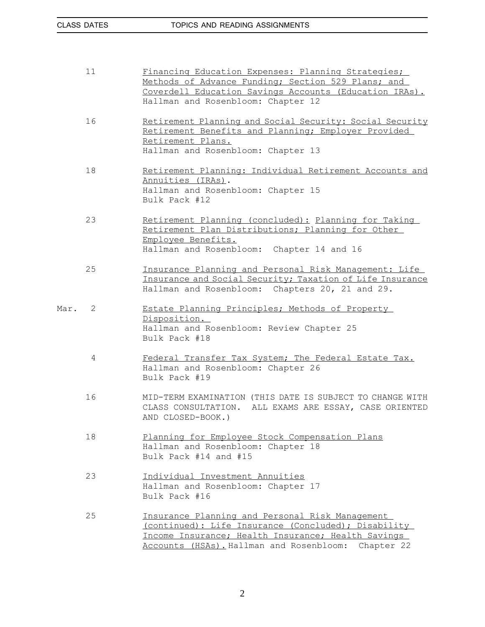|      | 11 | Financing Education Expenses: Planning Strategies;<br>Methods of Advance Funding; Section 529 Plans; and<br>Coverdell Education Savings Accounts (Education IRAs).<br>Hallman and Rosenbloom: Chapter 12               |
|------|----|------------------------------------------------------------------------------------------------------------------------------------------------------------------------------------------------------------------------|
|      | 16 | Retirement Planning and Social Security: Social Security<br>Retirement Benefits and Planning; Employer Provided<br>Retirement Plans.<br>Hallman and Rosenbloom: Chapter 13                                             |
|      | 18 | Retirement Planning: Individual Retirement Accounts and<br>Annuities (IRAs).<br>Hallman and Rosenbloom: Chapter 15<br>Bulk Pack #12                                                                                    |
|      | 23 | Retirement Planning (concluded): Planning for Taking<br>Retirement Plan Distributions; Planning for Other<br>Employee Benefits.<br>Hallman and Rosenbloom:<br>Chapter 14 and 16                                        |
|      | 25 | Insurance Planning and Personal Risk Management: Life<br>Insurance and Social Security; Taxation of Life Insurance<br>Hallman and Rosenbloom: Chapters 20, 21 and 29.                                                  |
| Mar. | 2  | Estate Planning Principles; Methods of Property<br>Disposition.<br>Hallman and Rosenbloom: Review Chapter 25<br>Bulk Pack #18                                                                                          |
|      | 4  | Federal Transfer Tax System; The Federal Estate Tax.<br>Hallman and Rosenbloom: Chapter 26<br>Bulk Pack #19                                                                                                            |
|      | 16 | MID-TERM EXAMINATION (THIS DATE IS SUBJECT TO CHANGE WITH<br>CLASS CONSULTATION. ALL EXAMS ARE ESSAY, CASE ORIENTED<br>AND CLOSED-BOOK.)                                                                               |
|      | 18 | Planning for Employee Stock Compensation Plans<br>Hallman and Rosenbloom: Chapter 18<br>Bulk Pack #14 and #15                                                                                                          |
|      | 23 | Individual Investment Annuities<br>Hallman and Rosenbloom: Chapter 17<br>Bulk Pack #16                                                                                                                                 |
|      | 25 | Insurance Planning and Personal Risk Management<br>(continued): Life Insurance (Concluded); Disability<br>Income Insurance; Health Insurance; Health Savings<br>Accounts (HSAs). Hallman and Rosenbloom:<br>Chapter 22 |